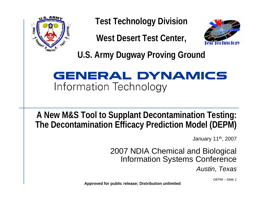

**Test Technology Division**

**West Desert Test Center,**



**U.S. Army Dugway Proving Ground**

#### **GENERAL DYNAMICS** Information Technology

#### **A New M&S Tool to Supplant Decontamination Testing: The Decontamination Efficacy Prediction Model (DEPM)**

January 11th, 2007

#### 2007 NDIA Chemical and Biological Information Systems Conference

*Austin, Texas*

*DEPM – Slide 1*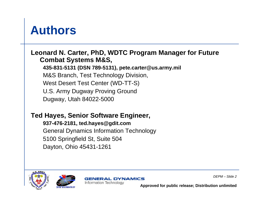### **Authors**

#### **Leonard N. Carter, PhD, WDTC Program Manager for Future Combat Systems M&S,**

**435-831-5131 (DSN 789-5131), pete.carter@us.army.mil** M&S Branch, Test Technology Division, West Desert Test Center (WD-TT-S) U.S. Army Dugway Proving Ground Dugway, Utah 84022-5000

#### **Ted Hayes, Senior Software Engineer,**

**937-476-2181, ted.hayes@gdit.com** General Dynamics Information Technology 5100 Springfield St, Suite 504 Dayton, Ohio 45431-1261





**GENERAL DYNAMICS** Information Technology

*DEPM – Slide 2*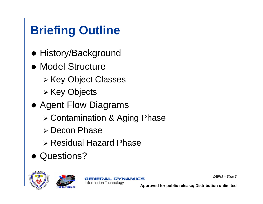# **Briefing Outline**

- History/Background
- Model Structure
	- ¾ Key Object Classes
	- ¾ Key Objects
- Agent Flow Diagrams
	- ¾ Contamination & Aging Phase
	- ¾ Decon Phase
	- ¾ Residual Hazard Phase
- Questions?







*DEPM – Slide 3*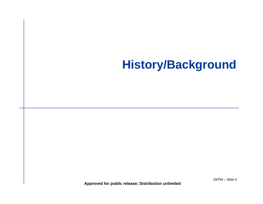## **History/Background**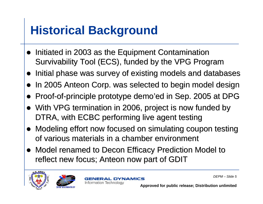## **Historical Background**

- Initiated in 2003 as the Equipment Contamination Survivability Tool (ECS), funded by the VPG Program
- Initial phase was survey of existing models and databases
- In 2005 Anteon Corp. was selected to begin model design
- $\bullet$ Proof-of-principle prototype demo'ed in Sep. 2005 at DPG
- With VPG termination in 2006, project is now funded by DTRA, with ECBC performing live agent testing
- Modeling effort now focused on simulating coupon testing of various materials in a chamber environment
- Model renamed to Decon Efficacy Prediction Model to reflect new focus; Anteon now part of GDIT





**GENERAL DYNAMICS** Information Technology

*DEPM – Slide 5*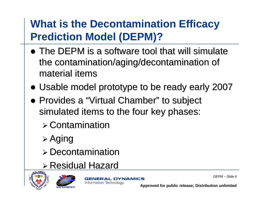### **What is the Decontamination Efficacy Prediction Model (DEPM)?**

- $\bullet$  The DEPM is a software tool that will simulate the contamination/aging/decontamination of material items
- Usable model prototype to be ready early 2007
- Provides a "Virtual Chamber" to subject simulated items to the four key phases:
	- $\triangleright$  Contamination
	- ¾ Aging
	- $\triangleright$  Decontamination
	- ¾ Residual Hazard Residual Hazard





**GENERAL DYNAMICS** Information Technology

*DEPM – Slide 6*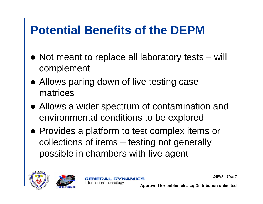## **Potential Benefits of the DEPM**

- Not meant to replace all laboratory tests will complement
- Allows paring down of live testing case matrices
- Allows a wider spectrum of contamination and environmental conditions to be explored
- Provides a platform to test complex items or collections of items – testing not generally possible in chambers with live agent





**DYNAMICS** Information Technology

*DEPM – Slide 7*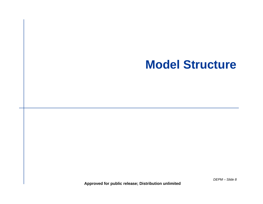#### **Model Structure**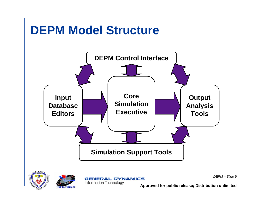## **DEPM Model Structure**







**GENERAL DYNAMICS Information Technology** 

*DEPM – Slide 9*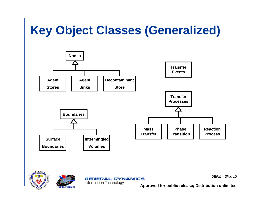# **Key Object Classes (Generalized)**

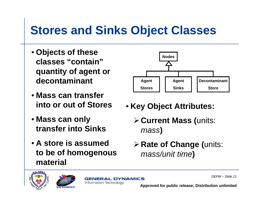## **Stores and Sinks Object Classes**

- **Objects of these classes "contain" quantity of agent or decontaminant**
- **Mass can transfer into or out of Stores**
- **Mass can only transfer into Sinks**
- **A store is assumed to be of homogenous material**



- **Key Object Attributes:**
	- ¾**Current Mass (**units: *mass***)**
	- ¾**Rate of Change (**units: *mass/unit time***)**





**GENERAL DYNAMICS** Information Technology

*DEPM – Slide 11*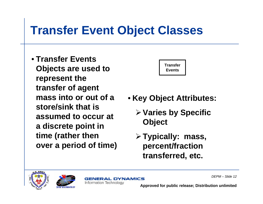## **Transfer Event Object Classes**

• **Transfer Events Objects are used to represent the transfer of agent mass into or out of a store/sink that is assumed to occur at a discrete point in time (rather then over a period of time)**



- **Key Object Attributes:**
	- ¾**Varies by Specific Object**
	- ¾**Typically: mass, percent/fraction transferred, etc.**





**GENERAL DYNAMICS** Information Technology

*DEPM – Slide 12*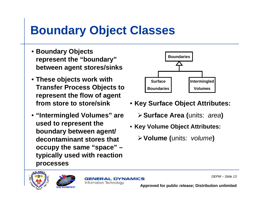## **Boundary Object Classes**

- **Boundary Objects represent the "boundary" between agent stores/sinks**
- **These objects work with Transfer Process Objects to represent the flow of agent from store to store/sink**
- **"Intermingled Volumes" are used to represent the boundary between agent/ decontaminant stores that occupy the same "space" – typically used with reaction processes**



- **Key Surface Object Attributes:**
	- ¾**Surface Area (**units: *area***)**
- **Key Volume Object Attributes:**
	- ¾**Volume (**units: *volume***)**





**GENERAL DYNAMICS** Information Technology

*DEPM – Slide 13*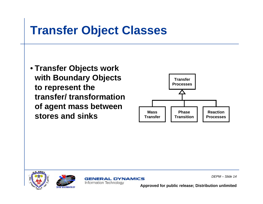## **Transfer Object Classes**

• **Transfer Objects work with Boundary Objects to represent the transfer/ transformation of agent mass between stores and sinks**







**GENERAL DYNAMICS** Information Technology

*DEPM – Slide 14*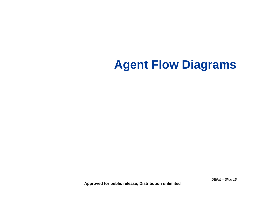### **Agent Flow Diagrams**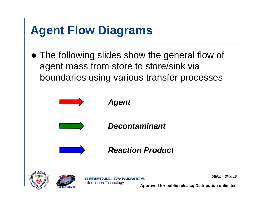## **Agent Flow Diagrams**

• The following slides show the general flow of agent mass from store to store/sink via boundaries using various transfer processes







**GENERAL DYNAMICS** Information Technology

*DEPM – Slide 16*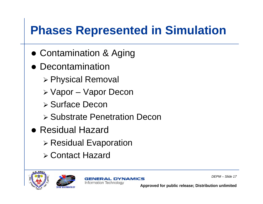## **Phases Represented in Simulation**

- **Contamination & Aging**
- $\bullet$  Decontamination
	- ¾ Physical Removal
	- ¾ Vapor Vapor Decon
	- ¾ Surface Decon
	- ¾ Substrate Penetration Decon
- Residual Hazard
	- ¾ Residual Evaporation
	- ¾ Contact Hazard







*DEPM – Slide 17*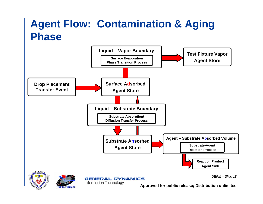#### **Agent Flow: Contamination & Aging Phase**





Information Technology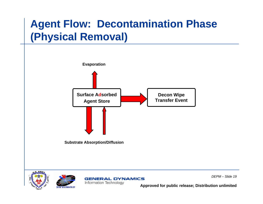#### **Agent Flow: Decontamination Phase (Physical Removal)**







**GENERAL DYNAMICS** Information Technology

*DEPM – Slide 19*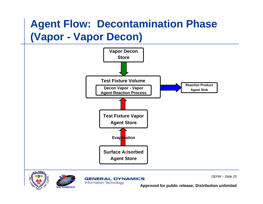#### **Agent Flow: Decontamination Phase (Vapor - Vapor Decon)**









*DEPM – Slide 20*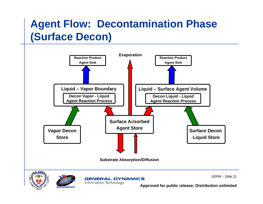#### **Agent Flow: Decontamination Phase (Surface Decon)**







**GENERAL DYNAMICS** 

Information Technology

*DEPM – Slide 21*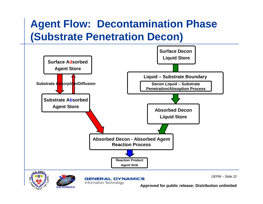#### **Agent Flow: Decontamination Phase (Substrate Penetration Decon)**







**GENERAL DYNAMICS** 

Information Technology

*DEPM – Slide 22*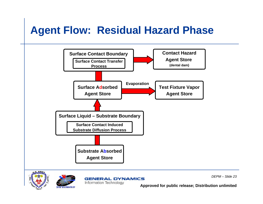### **Agent Flow: Residual Hazard Phase**



*DEPM – Slide 23*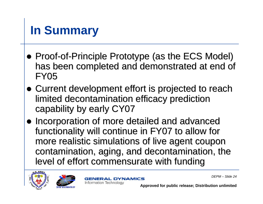## **In Summary**

- Proof-of-Principle Prototype (as the ECS Model) has been completed and demonstrated at end of FY05
- Current development effort is projected to reach limited decontamination efficacy prediction capability by early CY07
- Incorporation of more detailed and advanced functionality will continue in FY07 to allow for more realistic simulations of live agent coupon more realistic simulations of live agent coupon contamination, aging, and decontamination, the level of effort commensurate with funding





**GENERAL DYNAMICS** Information Technology

*DEPM – Slide 24*